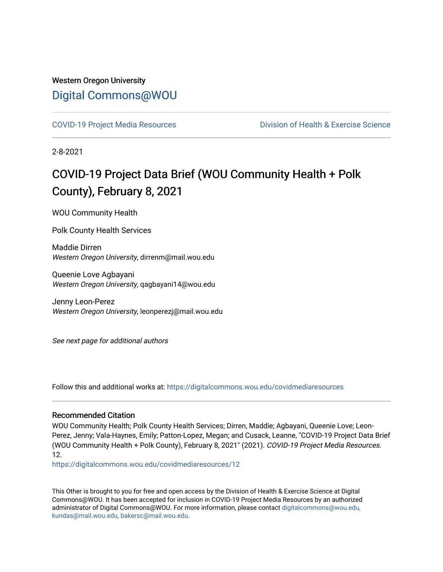## Western Oregon University [Digital Commons@WOU](https://digitalcommons.wou.edu/)

[COVID-19 Project Media Resources](https://digitalcommons.wou.edu/covidmediaresources) [Division of Health & Exercise Science](https://digitalcommons.wou.edu/healthexercise) 

2-8-2021

## COVID-19 Project Data Brief (WOU Community Health + Polk County), February 8, 2021

WOU Community Health

Polk County Health Services

Maddie Dirren Western Oregon University, dirrenm@mail.wou.edu

Queenie Love Agbayani Western Oregon University, qagbayani14@wou.edu

Jenny Leon-Perez Western Oregon University, leonperezj@mail.wou.edu

See next page for additional authors

Follow this and additional works at: [https://digitalcommons.wou.edu/covidmediaresources](https://digitalcommons.wou.edu/covidmediaresources?utm_source=digitalcommons.wou.edu%2Fcovidmediaresources%2F12&utm_medium=PDF&utm_campaign=PDFCoverPages)

#### Recommended Citation

WOU Community Health; Polk County Health Services; Dirren, Maddie; Agbayani, Queenie Love; Leon-Perez, Jenny; Vala-Haynes, Emily; Patton-Lopez, Megan; and Cusack, Leanne, "COVID-19 Project Data Brief (WOU Community Health + Polk County), February 8, 2021" (2021). COVID-19 Project Media Resources. 12.

[https://digitalcommons.wou.edu/covidmediaresources/12](https://digitalcommons.wou.edu/covidmediaresources/12?utm_source=digitalcommons.wou.edu%2Fcovidmediaresources%2F12&utm_medium=PDF&utm_campaign=PDFCoverPages) 

This Other is brought to you for free and open access by the Division of Health & Exercise Science at Digital Commons@WOU. It has been accepted for inclusion in COVID-19 Project Media Resources by an authorized administrator of Digital Commons@WOU. For more information, please contact [digitalcommons@wou.edu,](mailto:digitalcommons@wou.edu,%20kundas@mail.wou.edu,%20bakersc@mail.wou.edu)  [kundas@mail.wou.edu, bakersc@mail.wou.edu.](mailto:digitalcommons@wou.edu,%20kundas@mail.wou.edu,%20bakersc@mail.wou.edu)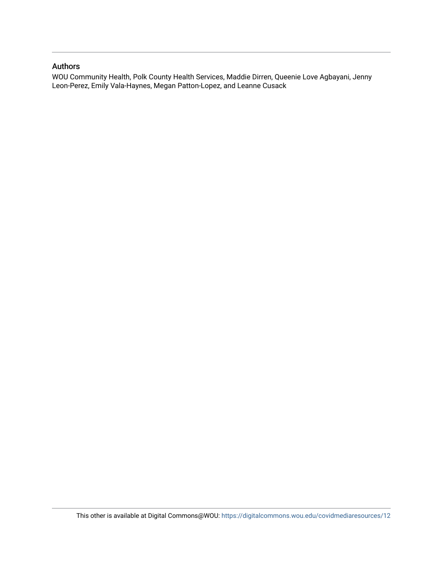#### Authors

WOU Community Health, Polk County Health Services, Maddie Dirren, Queenie Love Agbayani, Jenny Leon-Perez, Emily Vala-Haynes, Megan Patton-Lopez, and Leanne Cusack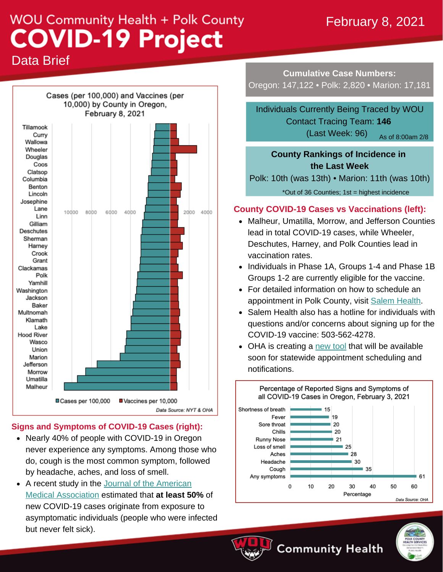## February 8, 2021

# **WOU Community Health + Polk County COVID-19 Project**

Data Brief



#### **Signs and Symptoms of COVID-19 Cases (right):**

- Nearly 40% of people with COVID-19 in Oregon never experience any symptoms. Among those who do, cough is the most common symptom, followed by headache, aches, and loss of smell.
- A recent study in the Journal of the American Medical [Association](https://jamanetwork.com/journals/jamanetworkopen/fullarticle/2774707) estimated that **at least 50%** of new COVID-19 cases originate from exposure to asymptomatic individuals (people who were infected but never felt sick).

**Cumulative Case Numbers:** Oregon: 147,122 • Polk: 2,820 • Marion: 17,181

Individuals Currently Being Traced by WOU Contact Tracing Team: **146** (Last Week: 96) As of 8:00am 2/8

### **County Rankings of Incidence in the Last Week**

Polk: 10th (was 13th) • Marion: 11th (was 10th)

\*Out of 36 Counties; 1st = highest incidence

#### **County COVID-19 Cases vs Vaccinations (left):**

- Malheur, Umatilla, Morrow, and Jefferson Counties lead in total COVID-19 cases, while Wheeler, Deschutes, Harney, and Polk Counties lead in vaccination rates.
- Individuals in Phase 1A, Groups 1-4 and Phase 1B Groups 1-2 are currently eligible for the vaccine.
- For detailed information on how to schedule an appointment in Polk County, visit Salem [Health.](https://www.salemhealth.org/covid-19/covid-vaccine)
- Salem Health also has a hotline for individuals with questions and/or concerns about signing up for the COVID-19 vaccine: 503-562-4278.
- OHA is creating a [new](https://www.oregonlive.com/coronavirus/2021/02/5-things-to-know-about-oregons-covid-19-vaccinations-for-older-residents-starting-monday.html) tool that will be available soon for statewide appointment scheduling and notifications.





**Community Health**